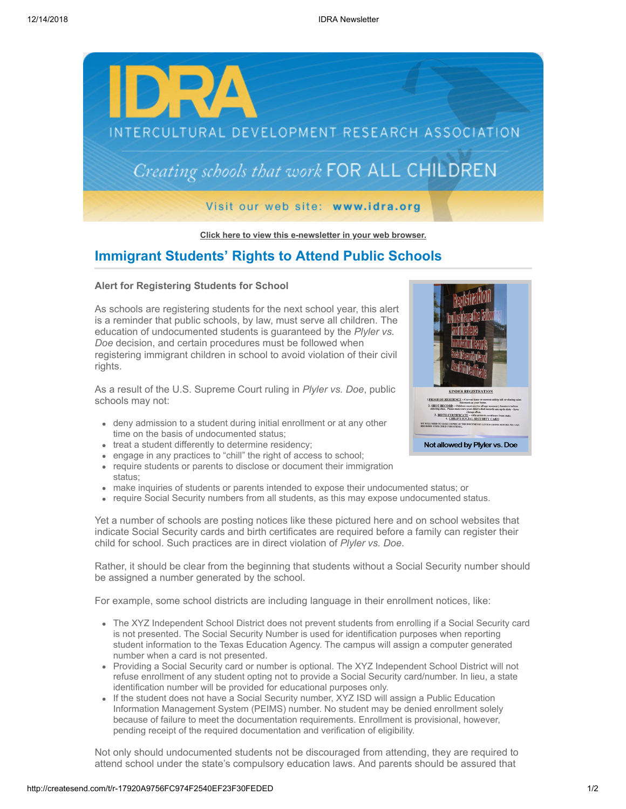

**[Click here to view this e-newsletter in your web browser.](http://newsletter.impulsedevelopment.com/t/r-e-xbgld-l-r/)**

## **Immigrant Students' Rights to Attend Public Schools**

## **Alert for Registering Students for School**

As schools are registering students for the next school year, this alert is a reminder that public schools, by law, must serve all children. The education of undocumented students is guaranteed by the *Plyler vs. Doe* decision, and certain procedures must be followed when registering immigrant children in school to avoid violation of their civil rights.

As a result of the U.S. Supreme Court ruling in *Plyler vs. Doe*, public schools may not:

- deny admission to a student during initial enrollment or at any other time on the basis of undocumented status;
- treat a student differently to determine residency;
- engage in any practices to "chill" the right of access to school;
- require students or parents to disclose or document their immigration status;
- make inquiries of students or parents intended to expose their undocumented status; or
- require Social Security numbers from all students, as this may expose undocumented status.

Yet a number of schools are posting notices like these pictured here and on school websites that indicate Social Security cards and birth certificates are required before a family can register their child for school. Such practices are in direct violation of *Plyler vs. Doe*.

Rather, it should be clear from the beginning that students without a Social Security number should be assigned a number generated by the school.

For example, some school districts are including language in their enrollment notices, like:

- The XYZ Independent School District does not prevent students from enrolling if a Social Security card is not presented. The Social Security Number is used for identification purposes when reporting student information to the Texas Education Agency. The campus will assign a computer generated number when a card is not presented.
- Providing a Social Security card or number is optional. The XYZ Independent School District will not refuse enrollment of any student opting not to provide a Social Security card/number. In lieu, a state identification number will be provided for educational purposes only.
- If the student does not have a Social Security number, XYZ ISD will assign a Public Education Information Management System (PEIMS) number. No student may be denied enrollment solely because of failure to meet the documentation requirements. Enrollment is provisional, however, pending receipt of the required documentation and verification of eligibility.

Not only should undocumented students not be discouraged from attending, they are required to attend school under the state's compulsory education laws. And parents should be assured that